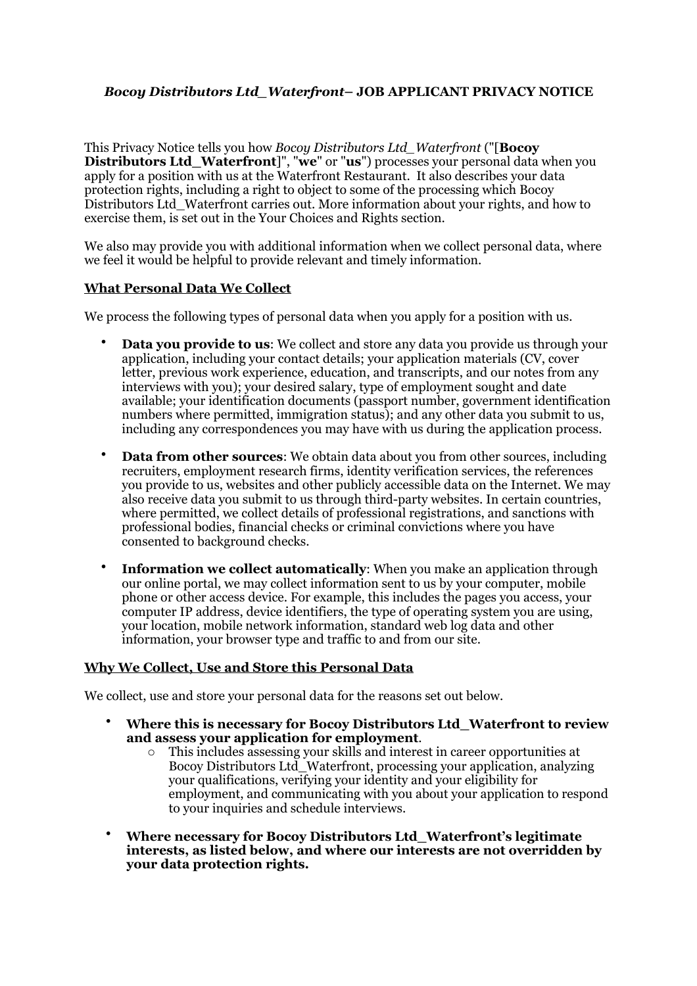# *Bocoy Distributors Ltd\_Waterfront***– JOB APPLICANT PRIVACY NOTICE**

This Privacy Notice tells you how *Bocoy Distributors Ltd\_Waterfront* ("[**Bocoy Distributors Ltd\_Waterfront**]", "**we**" or "**us**") processes your personal data when you apply for a position with us at the Waterfront Restaurant. It also describes your data protection rights, including a right to object to some of the processing which Bocoy Distributors Ltd\_Waterfront carries out. More information about your rights, and how to exercise them, is set out in the Your Choices and Rights section.

We also may provide you with additional information when we collect personal data, where we feel it would be helpful to provide relevant and timely information.

#### **What Personal Data We Collect**

We process the following types of personal data when you apply for a position with us.

- **Data you provide to us**: We collect and store any data you provide us through your application, including your contact details; your application materials (CV, cover letter, previous work experience, education, and transcripts, and our notes from any interviews with you); your desired salary, type of employment sought and date available; your identification documents (passport number, government identification numbers where permitted, immigration status); and any other data you submit to us, including any correspondences you may have with us during the application process.
- **Data from other sources**: We obtain data about you from other sources, including recruiters, employment research firms, identity verification services, the references you provide to us, websites and other publicly accessible data on the Internet. We may also receive data you submit to us through third-party websites. In certain countries, where permitted, we collect details of professional registrations, and sanctions with professional bodies, financial checks or criminal convictions where you have consented to background checks.
- **Information we collect automatically**: When you make an application through our online portal, we may collect information sent to us by your computer, mobile phone or other access device. For example, this includes the pages you access, your computer IP address, device identifiers, the type of operating system you are using, your location, mobile network information, standard web log data and other information, your browser type and traffic to and from our site.

#### **Why We Collect, Use and Store this Personal Data**

We collect, use and store your personal data for the reasons set out below.

- **Where this is necessary for Bocoy Distributors Ltd\_Waterfront to review and assess your application for employment**.
	- o This includes assessing your skills and interest in career opportunities at Bocoy Distributors Ltd\_Waterfront, processing your application, analyzing your qualifications, verifying your identity and your eligibility for employment, and communicating with you about your application to respond to your inquiries and schedule interviews.
- **Where necessary for Bocoy Distributors Ltd\_Waterfront's legitimate interests, as listed below, and where our interests are not overridden by your data protection rights.**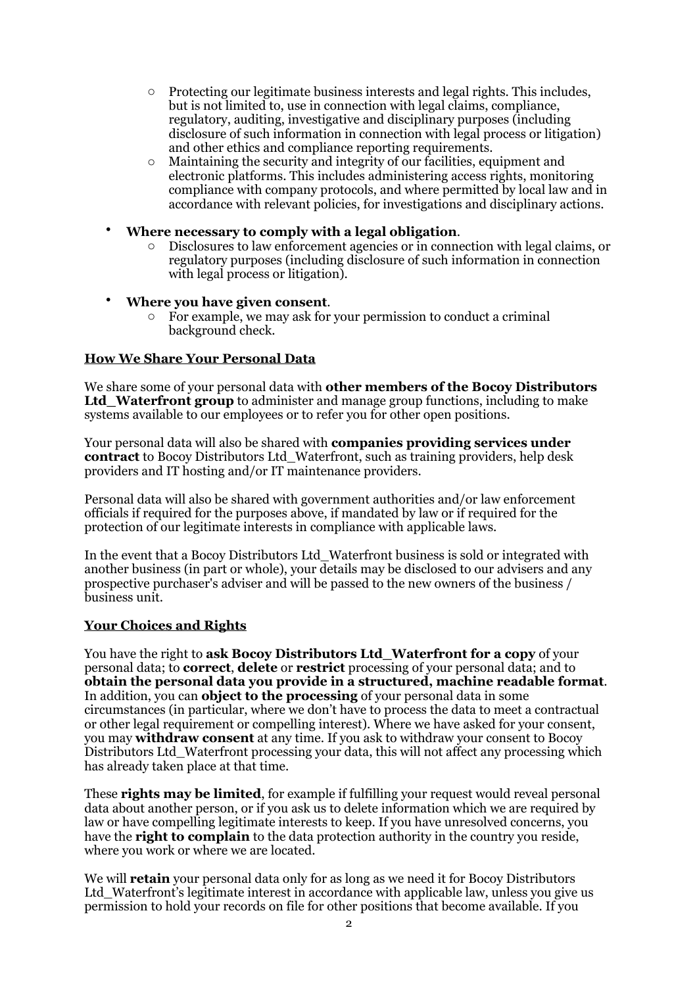- o Protecting our legitimate business interests and legal rights. This includes, but is not limited to, use in connection with legal claims, compliance, regulatory, auditing, investigative and disciplinary purposes (including disclosure of such information in connection with legal process or litigation) and other ethics and compliance reporting requirements.
- $\circ$  Maintaining the security and integrity of our facilities, equipment and electronic platforms. This includes administering access rights, monitoring compliance with company protocols, and where permitted by local law and in accordance with relevant policies, for investigations and disciplinary actions.
- **Where necessary to comply with a legal obligation**.
	- o Disclosures to law enforcement agencies or in connection with legal claims, or regulatory purposes (including disclosure of such information in connection with legal process or litigation).
- **Where you have given consent**.
	- o For example, we may ask for your permission to conduct a criminal background check.

## **How We Share Your Personal Data**

We share some of your personal data with **other members of the Bocoy Distributors Ltd\_Waterfront group** to administer and manage group functions, including to make systems available to our employees or to refer you for other open positions.

Your personal data will also be shared with **companies providing services under contract** to Bocoy Distributors Ltd\_Waterfront, such as training providers, help desk providers and IT hosting and/or IT maintenance providers.

Personal data will also be shared with government authorities and/or law enforcement officials if required for the purposes above, if mandated by law or if required for the protection of our legitimate interests in compliance with applicable laws.

In the event that a Bocoy Distributors Ltd\_Waterfront business is sold or integrated with another business (in part or whole), your details may be disclosed to our advisers and any prospective purchaser's adviser and will be passed to the new owners of the business / business unit.

## **Your Choices and Rights**

You have the right to **ask Bocoy Distributors Ltd\_Waterfront for a copy** of your personal data; to **correct**, **delete** or **restrict** processing of your personal data; and to **obtain the personal data you provide in a structured, machine readable format**. In addition, you can **object to the processing** of your personal data in some circumstances (in particular, where we don't have to process the data to meet a contractual or other legal requirement or compelling interest). Where we have asked for your consent, you may **withdraw consent** at any time. If you ask to withdraw your consent to Bocoy Distributors Ltd\_Waterfront processing your data, this will not affect any processing which has already taken place at that time.

These **rights may be limited**, for example if fulfilling your request would reveal personal data about another person, or if you ask us to delete information which we are required by law or have compelling legitimate interests to keep. If you have unresolved concerns, you have the **right to complain** to the data protection authority in the country you reside, where you work or where we are located.

We will **retain** your personal data only for as long as we need it for Bocoy Distributors Ltd Waterfront's legitimate interest in accordance with applicable law, unless you give us permission to hold your records on file for other positions that become available. If you